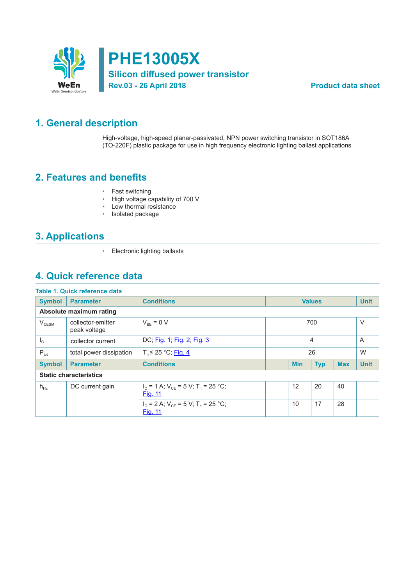

**PHE13005X Silicon diffused power transistor Rev.03 - 26 April 2018 Product data sheet**

### **1. General description**

High-voltage, high-speed planar-passivated, NPN power switching transistor in SOT186A (TO-220F) plastic package for use in high frequency electronic lighting ballast applications

### **2. Features and benefits**

- Fast switching
- High voltage capability of 700 V
- Low thermal resistance
- Isolated package

# **3. Applications**

• Electronic lighting ballasts

### **4. Quick reference data**

|                               | <b>Table 1. Quick reference data</b> |                                                               |                          |    |            |             |             |
|-------------------------------|--------------------------------------|---------------------------------------------------------------|--------------------------|----|------------|-------------|-------------|
| <b>Symbol</b>                 | <b>Parameter</b>                     | <b>Conditions</b>                                             | <b>Values</b>            |    |            |             | <b>Unit</b> |
| Absolute maximum rating       |                                      |                                                               |                          |    |            |             |             |
| V <sub>CESM</sub>             | collector-emitter<br>peak voltage    | $V_{BE} = 0 V$                                                | 700                      |    |            |             | $\vee$      |
| $I_{\rm C}$                   | collector current                    | DC; Fig. 1; Fig. 2; Fig. 3                                    | 4                        |    |            |             | A           |
| $P_{\text{tot}}$              | total power dissipation              | $T_h \leq 25$ °C; Fig. 4                                      | 26                       |    |            | W           |             |
| <b>Symbol</b>                 | <b>Parameter</b>                     | <b>Conditions</b>                                             | <b>Min</b><br><b>Typ</b> |    | <b>Max</b> | <b>Unit</b> |             |
| <b>Static characteristics</b> |                                      |                                                               |                          |    |            |             |             |
| $h_{FE}$                      | DC current gain                      | $I_c = 1$ A; $V_{cF} = 5$ V; $T_h = 25$ °C;<br><b>Fig. 11</b> | 12<br>20<br>40           |    |            |             |             |
|                               |                                      | $I_c = 2$ A; $V_{cF} = 5$ V; $T_h = 25$ °C;<br><b>Fig. 11</b> |                          | 10 | 17         | 28          |             |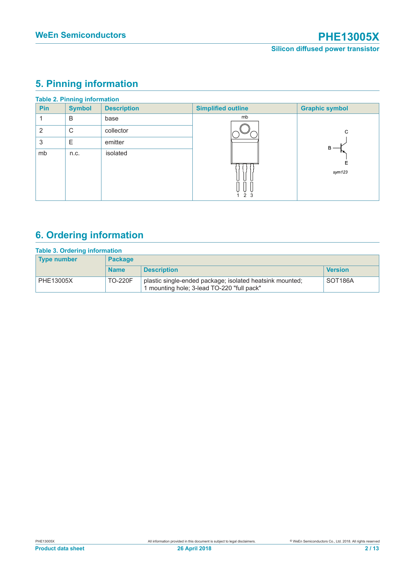# **5. Pinning information**

|     | <b>Table 2. Pinning information</b> |                    |                           |                       |  |  |  |  |
|-----|-------------------------------------|--------------------|---------------------------|-----------------------|--|--|--|--|
| Pin | <b>Symbol</b>                       | <b>Description</b> | <b>Simplified outline</b> | <b>Graphic symbol</b> |  |  |  |  |
|     | B                                   | base               | mb                        |                       |  |  |  |  |
| 2   | C                                   | collector          |                           | C                     |  |  |  |  |
| 3   | Ε                                   | emitter            |                           | В                     |  |  |  |  |
| mb  | n.c.                                | isolated           | 123                       | Ε<br>sym123           |  |  |  |  |

# **6. Ordering information**

| <b>Table 3. Ordering information</b> |                |                                                                                                      |                      |  |  |
|--------------------------------------|----------------|------------------------------------------------------------------------------------------------------|----------------------|--|--|
| <b>Type number</b>                   | <b>Package</b> |                                                                                                      |                      |  |  |
|                                      | <b>Name</b>    | <b>Description</b>                                                                                   | <b>Version</b>       |  |  |
| PHE13005X                            | <b>TO-220F</b> | plastic single-ended package; isolated heatsink mounted;<br>mounting hole; 3-lead TO-220 "full pack" | SOT <sub>186</sub> A |  |  |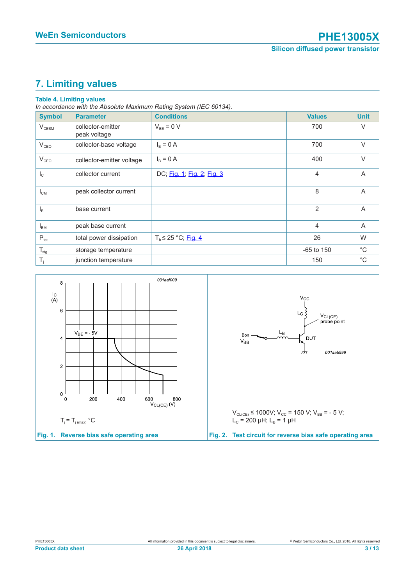# **7. Limiting values**

### **Table 4. Limiting values**

*In accordance with the Absolute Maximum Rating System (IEC 60134).*

| <b>Symbol</b>     | <b>Parameter</b>                  | <b>Conditions</b>          | <b>Values</b>  | <b>Unit</b>    |
|-------------------|-----------------------------------|----------------------------|----------------|----------------|
| $V_{\text{CESM}}$ | collector-emitter<br>peak voltage | $V_{BE} = 0 V$             | 700            | $\vee$         |
| $V_{CBO}$         | collector-base voltage            | $I_F = 0 A$                | 700            | $\vee$         |
| $V_{CEO}$         | collector-emitter voltage         | $I_B = 0 A$                | 400            | $\vee$         |
| $I_{\rm c}$       | collector current                 | DC; Fig. 1; Fig. 2; Fig. 3 | $\overline{4}$ | A              |
| $I_{CM}$          | peak collector current            |                            | 8              | $\overline{A}$ |
| $I_{B}$           | base current                      |                            | 2              | A              |
| $I_{BM}$          | peak base current                 |                            | $\overline{4}$ | A              |
| $P_{\text{tot}}$  | total power dissipation           | $T_h \leq 25 °C$ ; Fig. 4  | 26             | W              |
| $T_{\rm stg}$     | storage temperature               |                            | $-65$ to 150   | $^{\circ}$ C   |
| T,                | junction temperature              |                            | 150            | $^{\circ}$ C   |

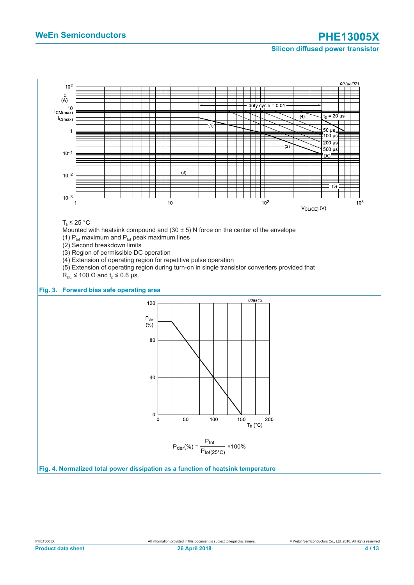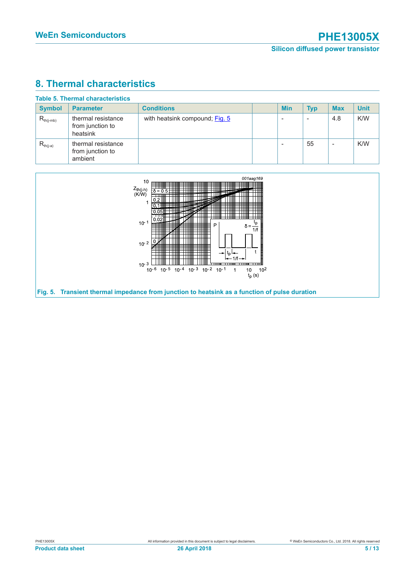# **8. Thermal characteristics**

| <b>Symbol</b>  | <b>Parameter</b>                                   | <b>Conditions</b>              | <b>Min</b> | <b>Typ</b>               | <b>Max</b>               | <b>Unit</b> |
|----------------|----------------------------------------------------|--------------------------------|------------|--------------------------|--------------------------|-------------|
| $R_{th(i-mb)}$ | thermal resistance<br>from junction to<br>heatsink | with heatsink compound; Fig. 5 |            | $\overline{\phantom{a}}$ | 4.8                      | K/W         |
| $R_{th(j-a)}$  | thermal resistance<br>from junction to<br>ambient  |                                |            | 55                       | $\overline{\phantom{a}}$ | K/W         |

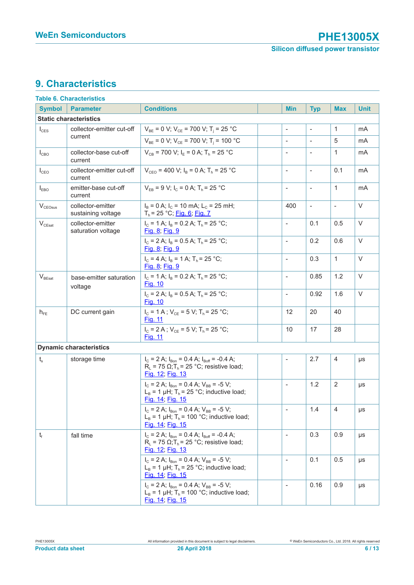# **9. Characteristics**

|                                                       | Table 6. Characteristics                                        |                                                                                                                                           |                          |            |                          |                |             |
|-------------------------------------------------------|-----------------------------------------------------------------|-------------------------------------------------------------------------------------------------------------------------------------------|--------------------------|------------|--------------------------|----------------|-------------|
| <b>Symbol</b>                                         | <b>Parameter</b>                                                | <b>Conditions</b>                                                                                                                         |                          | <b>Min</b> | <b>Typ</b>               | <b>Max</b>     | <b>Unit</b> |
|                                                       | <b>Static characteristics</b>                                   |                                                                                                                                           |                          |            |                          |                |             |
| $I_{\text{CES}}$                                      | collector-emitter cut-off                                       | $V_{BE}$ = 0 V; V <sub>CE</sub> = 700 V; T <sub>i</sub> = 25 °C                                                                           | $\overline{\phantom{a}}$ |            | $\sim$                   | 1              | mA          |
|                                                       | current                                                         | $V_{BE}$ = 0 V; $V_{CE}$ = 700 V; T <sub>i</sub> = 100 °C                                                                                 | $\overline{\phantom{a}}$ |            | $\overline{\phantom{a}}$ | 5              | mA          |
| $I_{CBO}$                                             | collector-base cut-off<br>current                               | $V_{CB}$ = 700 V; $I_F$ = 0 A; $T_h$ = 25 °C                                                                                              | $\overline{\phantom{a}}$ |            | $\overline{\phantom{a}}$ | $\mathbf{1}$   | mA          |
| $I_{CEO}$                                             | collector-emitter cut-off<br>current                            | $V_{CFO}$ = 400 V; $I_B$ = 0 A; $T_b$ = 25 °C                                                                                             | $\blacksquare$           |            | $\blacksquare$           | 0.1            | mA          |
| $I_{EBO}$                                             | emitter-base cut-off<br>current                                 | $V_{FB} = 9 V$ ; $I_C = 0 A$ ; $T_h = 25 °C$                                                                                              | $\frac{1}{2}$            |            | $\overline{\phantom{a}}$ | $\mathbf{1}$   | mA          |
| $\rm V_{\rm CEOsus}$                                  | collector-emitter<br>sustaining voltage                         | $I_B = 0$ A; $I_C = 10$ mA; $L_C = 25$ mH;<br>$T_h$ = 25 °C; Fig. 6; Fig. 7                                                               |                          | 400        | $\overline{\phantom{a}}$ | $\blacksquare$ | $\vee$      |
| $\rm V_{\rm CEsat}$                                   | collector-emitter<br>saturation voltage                         | $I_c = 1$ A; $I_B = 0.2$ A; $T_b = 25$ °C;<br>Fig. 8; Fig. 9                                                                              | $\blacksquare$           |            | 0.1                      | 0.5            | $\vee$      |
|                                                       |                                                                 | $I_c = 2$ A; $I_B = 0.5$ A; $T_h = 25$ °C;<br>Fig. 8; Fig. 9                                                                              | $\blacksquare$           |            | 0.2                      | 0.6            | $\vee$      |
|                                                       |                                                                 | $I_c = 4$ A; $I_B = 1$ A; $T_b = 25$ °C;<br>Fig. 8; Fig. 9                                                                                | $\overline{\phantom{a}}$ |            | 0.3                      | $\mathbf{1}$   | $\vee$      |
| $\rm V_{BEsat}$<br>base-emitter saturation<br>voltage | $I_c = 1$ A; $I_B = 0.2$ A; $T_h = 25$ °C;<br><u>Fig. 10</u>    | $\blacksquare$                                                                                                                            |                          | 0.85       | 1.2                      | $\vee$         |             |
|                                                       | $I_c = 2 A$ ; $I_B = 0.5 A$ ; $T_h = 25 °C$ ;<br><b>Fig. 10</b> | $\overline{\phantom{a}}$                                                                                                                  |                          | 0.92       | 1.6                      | $\vee$         |             |
| DC current gain<br>$h_{FE}$                           |                                                                 | $I_c = 1 A$ ; $V_{ce} = 5 V$ ; $T_h = 25 °C$ ;<br>Fig. 11                                                                                 |                          | 12         | 20                       | 40             |             |
|                                                       |                                                                 | $I_c = 2 A$ ; $V_{CF} = 5 V$ ; $T_h = 25 °C$ ;<br><u>Fig. 11</u>                                                                          |                          | 10         | 17                       | 28             |             |
|                                                       | <b>Dynamic characteristics</b>                                  |                                                                                                                                           |                          |            |                          |                |             |
| $t_{s}$<br>storage time                               |                                                                 | $I_c = 2$ A; $I_{Bon} = 0.4$ A; $I_{Boff} = -0.4$ A;<br>$R_1$ = 75 $\Omega$ ; T <sub>h</sub> = 25 °C; resistive load;<br>Fig. 12; Fig. 13 | $\overline{\phantom{a}}$ |            | 2.7                      | $\overline{4}$ | μs          |
|                                                       |                                                                 | $I_c = 2$ A; $I_{Bon} = 0.4$ A; $V_{BB} = -5$ V;<br>$L_B$ = 1 µH; T <sub>h</sub> = 25 °C; inductive load;<br>Fig. 14; Fig. 15             | $\overline{\phantom{a}}$ |            | 1.2                      | 2              | μs          |
|                                                       |                                                                 | $I_c = 2$ A; $I_{Bon} = 0.4$ A; $V_{BB} = -5$ V;<br>$L_B$ = 1 µH; T <sub>h</sub> = 100 °C; inductive load;<br>Fig. 14; Fig. 15            | $\overline{\phantom{a}}$ |            | 1.4                      | $\overline{4}$ | μs          |
| $t_{\rm f}$                                           | fall time                                                       | $I_c = 2$ A; $I_{Bon} = 0.4$ A; $I_{Boff} = -0.4$ A;<br>$R_L$ = 75 $\Omega$ ; T <sub>h</sub> = 25 °C; resistive load;<br>Fig. 12; Fig. 13 | $\overline{\phantom{a}}$ |            | 0.3                      | 0.9            | μs          |
|                                                       |                                                                 | $I_c = 2$ A; $I_{Bon} = 0.4$ A; $V_{BB} = -5$ V;<br>$L_B$ = 1 µH; T <sub>h</sub> = 25 °C; inductive load;<br>Fig. 14; Fig. 15             | $\overline{\phantom{a}}$ |            | 0.1                      | 0.5            | μs          |
|                                                       |                                                                 | $I_c = 2$ A; $I_{Bon} = 0.4$ A; $V_{BB} = -5$ V;<br>$L_B$ = 1 µH; T <sub>h</sub> = 100 °C; inductive load;<br>Fig. 14; Fig. 15            | $\overline{\phantom{a}}$ |            | 0.16                     | 0.9            | μs          |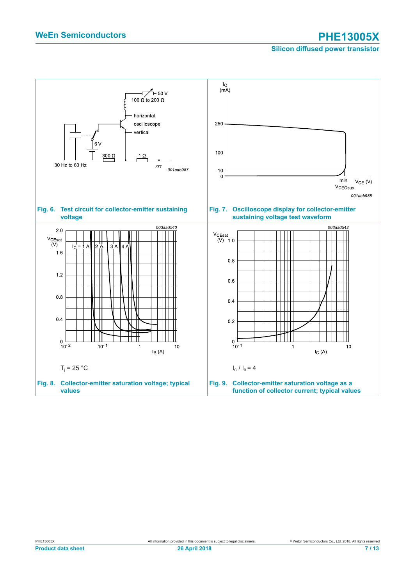### **Silicon diffused power transistor**

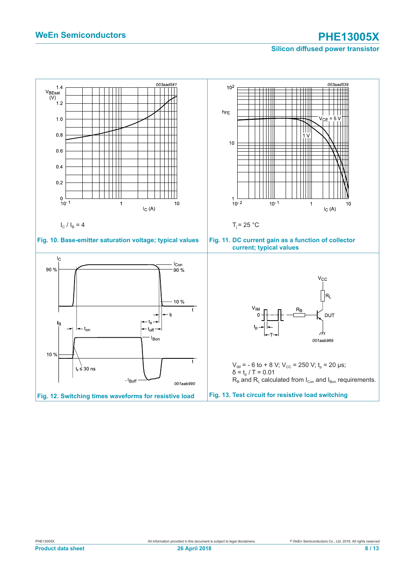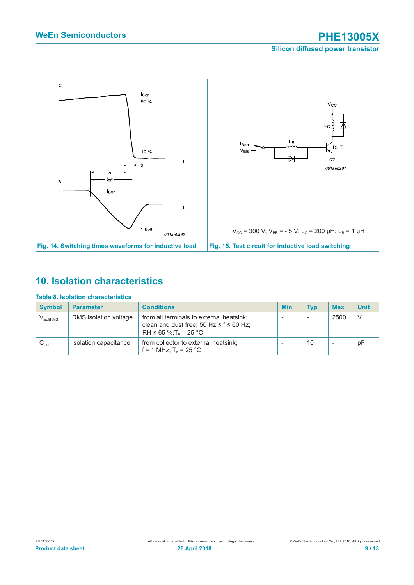

## **10. Isolation characteristics**

|                     | TADIG 0. ISUTATIUTI GITALAGE ISTIGS |                                                                                                                               |  |     |            |                          |             |  |
|---------------------|-------------------------------------|-------------------------------------------------------------------------------------------------------------------------------|--|-----|------------|--------------------------|-------------|--|
| <b>Symbol</b>       | <b>Parameter</b>                    | <b>Conditions</b>                                                                                                             |  | Min | <b>Typ</b> | <b>Max</b>               | <b>Unit</b> |  |
| $V_{\rm isol(RMS)}$ | RMS isolation voltage               | from all terminals to external heatsink;<br>clean and dust free; 50 Hz $\leq$ f $\leq$ 60 Hz;<br>$RH \le 65$ %; $T_h = 25$ °C |  |     |            | 2500                     | -V          |  |
| $C_{\rm isol}$      | isolation capacitance               | from collector to external heatsink;<br>f = 1 MHz; $T_h$ = 25 °C                                                              |  |     | 10         | $\overline{\phantom{a}}$ | pF          |  |

### **Table 8. Isolation characteristics**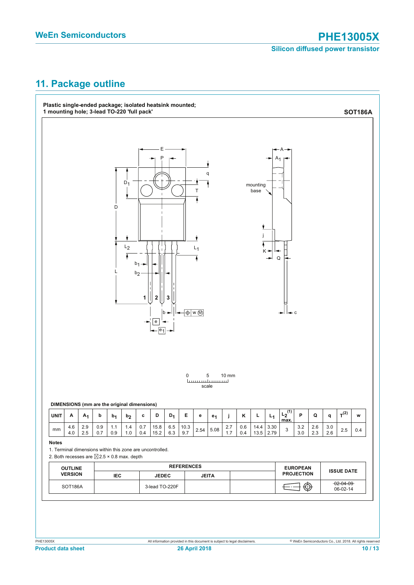# **11. Package outline**

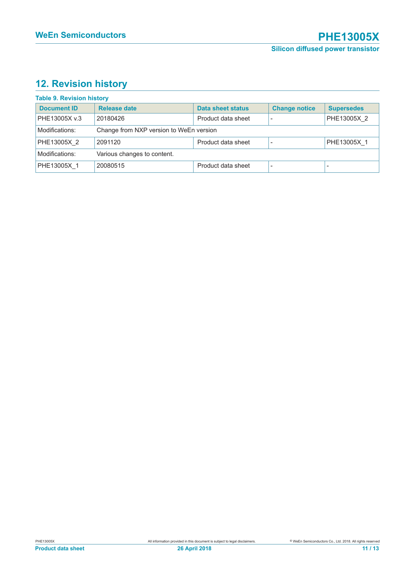# **12. Revision history**

### **Table 9. Revision history**

| <b>Document ID</b>                            | Release date                            | Data sheet status  | <b>Change notice</b> | <b>Supersedes</b> |  |  |
|-----------------------------------------------|-----------------------------------------|--------------------|----------------------|-------------------|--|--|
| PHE13005X v.3                                 | 20180426                                | Product data sheet |                      | PHE13005X 2       |  |  |
| Modifications:                                | Change from NXP version to WeEn version |                    |                      |                   |  |  |
| PHE13005X 2                                   | 2091120                                 | Product data sheet |                      | PHE13005X 1       |  |  |
| Modifications:<br>Various changes to content. |                                         |                    |                      |                   |  |  |
| PHE13005X 1                                   | 20080515                                | Product data sheet |                      |                   |  |  |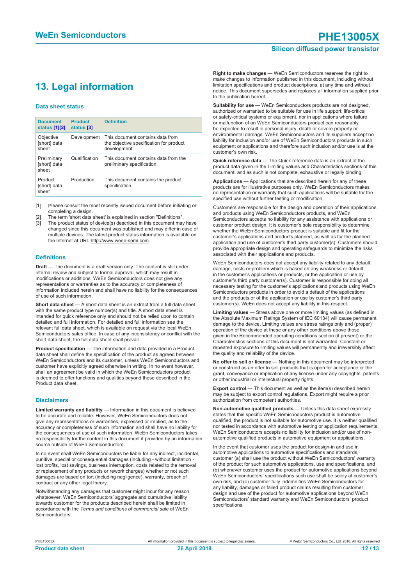### **Silicon diffused power transistor**

## **13. Legal information**

#### **Data sheet status**

| <b>Document</b><br>status [1][2]     | <b>Product</b><br>status [3] | <b>Definition</b>                                                                           |
|--------------------------------------|------------------------------|---------------------------------------------------------------------------------------------|
| Objective<br>[short] data<br>sheet   | Development                  | This document contains data from<br>the objective specification for product<br>development. |
| Preliminary<br>[short] data<br>sheet | Qualification                | This document contains data from the<br>preliminary specification.                          |
| Product<br>[short] data<br>sheet     | Production                   | This document contains the product<br>specification.                                        |

[1] Please consult the most recently issued document before initiating or completing a design.

- [2] The term 'short data sheet' is explained in section "Definitions".
- [3] The product status of device(s) described in this document may have changed since this document was published and may differ in case of multiple devices. The latest product status information is available on the Internet at URL http://www.ween-semi.com.

#### **Definitions**

**Draft** — The document is a draft version only. The content is still under internal review and subject to formal approval, which may result in modifications or additions. WeEn Semiconductors does not give any representations or warranties as to the accuracy or completeness of information included herein and shall have no liability for the consequences of use of such information.

**Short data sheet** — A short data sheet is an extract from a full data sheet with the same product type number(s) and title. A short data sheet is intended for quick reference only and should not be relied upon to contain detailed and full information. For detailed and full information see the relevant full data sheet, which is available on request via the local WeEn Semiconductors sales office. In case of any inconsistency or conflict with the short data sheet, the full data sheet shall prevail.

**Product specification** — The information and data provided in a Product data sheet shall define the specification of the product as agreed between WeEn Semiconductors and its customer, unless WeEn Semiconductors and customer have explicitly agreed otherwise in writing. In no event however, shall an agreement be valid in which the WeEn Semiconductors product is deemed to offer functions and qualities beyond those described in the Product data sheet.

#### **Disclaimers**

**Limited warranty and liability** — Information in this document is believed to be accurate and reliable. However, WeEn Semiconductors does not give any representations or warranties, expressed or implied, as to the accuracy or completeness of such information and shall have no liability for the consequences of use of such information. WeEn Semiconductors takes no responsibility for the content in this document if provided by an information source outside of WeEn Semiconductors.

In no event shall WeEn Semiconductors be liable for any indirect, incidental, punitive, special or consequential damages (including - without limitation lost profits, lost savings, business interruption, costs related to the removal or replacement of any products or rework charges) whether or not such damages are based on tort (including negligence), warranty, breach of contract or any other legal theory.

Notwithstanding any damages that customer might incur for any reason whatsoever, WeEn Semiconductors' aggregate and cumulative liability towards customer for the products described herein shall be limited in accordance with the *Terms and conditions of commercial sale* of WeEn Semiconductors.

**Right to make changes** — WeEn Semiconductors reserves the right to make changes to information published in this document, including without limitation specifications and product descriptions, at any time and without notice. This document supersedes and replaces all information supplied prior to the publication hereof.

**Suitability for use** — WeEn Semiconductors products are not designed, authorized or warranted to be suitable for use in life support, life-critical or safety-critical systems or equipment, nor in applications where failure or malfunction of an WeEn Semiconductors product can reasonably be expected to result in personal injury, death or severe property or environmental damage. WeEn Semiconductors and its suppliers accept no liability for inclusion and/or use of WeEn Semiconductors products in such equipment or applications and therefore such inclusion and/or use is at the customer's own risk.

**Quick reference data** — The Quick reference data is an extract of the product data given in the Limiting values and Characteristics sections of this document, and as such is not complete, exhaustive or legally binding.

**Applications** — Applications that are described herein for any of these products are for illustrative purposes only. WeEn Semiconductors makes no representation or warranty that such applications will be suitable for the specified use without further testing or modification.

Customers are responsible for the design and operation of their applications and products using WeEn Semiconductors products, and WeEn Semiconductors accepts no liability for any assistance with applications or customer product design. It is customer's sole responsibility to determine whether the WeEn Semiconductors product is suitable and fit for the customer's applications and products planned, as well as for the planned application and use of customer's third party customer(s). Customers should provide appropriate design and operating safeguards to minimize the risks associated with their applications and products.

WeEn Semiconductors does not accept any liability related to any default, damage, costs or problem which is based on any weakness or default in the customer's applications or products, or the application or use by customer's third party customer(s). Customer is responsible for doing all necessary testing for the customer's applications and products using WeEn Semiconductors products in order to avoid a default of the applications and the products or of the application or use by customer's third party customer(s). WeEn does not accept any liability in this respect.

**Limiting values** — Stress above one or more limiting values (as defined in the Absolute Maximum Ratings System of IEC 60134) will cause permanent damage to the device. Limiting values are stress ratings only and (proper) operation of the device at these or any other conditions above those given in the Recommended operating conditions section (if present) or the Characteristics sections of this document is not warranted. Constant or repeated exposure to limiting values will permanently and irreversibly affect the quality and reliability of the device.

**No offer to sell or license** — Nothing in this document may be interpreted or construed as an offer to sell products that is open for acceptance or the grant, conveyance or implication of any license under any copyrights, patents or other industrial or intellectual property rights.

**Export control** — This document as well as the item(s) described herein may be subject to export control regulations. Export might require a prior authorization from competent authorities.

**Non-automotive qualified products** — Unless this data sheet expressly states that this specific WeEn Semiconductors product is automotive qualified, the product is not suitable for automotive use. It is neither qualified nor tested in accordance with automotive testing or application requirements. WeEn Semiconductors accepts no liability for inclusion and/or use of nonautomotive qualified products in automotive equipment or applications.

In the event that customer uses the product for design-in and use in automotive applications to automotive specifications and standards, customer (a) shall use the product without WeEn Semiconductors' warranty of the product for such automotive applications, use and specifications, and (b) whenever customer uses the product for automotive applications beyond WeEn Semiconductors' specifications such use shall be solely at customer's own risk, and (c) customer fully indemnifies WeEn Semiconductors for any liability, damages or failed product claims resulting from customer design and use of the product for automotive applications beyond WeEn Semiconductors' standard warranty and WeEn Semiconductors' product specifications.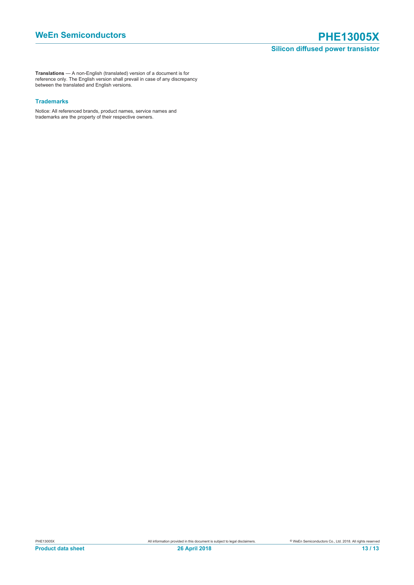**Translations** — A non-English (translated) version of a document is for reference only. The English version shall prevail in case of any discrepancy between the translated and English versions.

### **Trademarks**

Notice: All referenced brands, product names, service names and trademarks are the property of their respective owners.